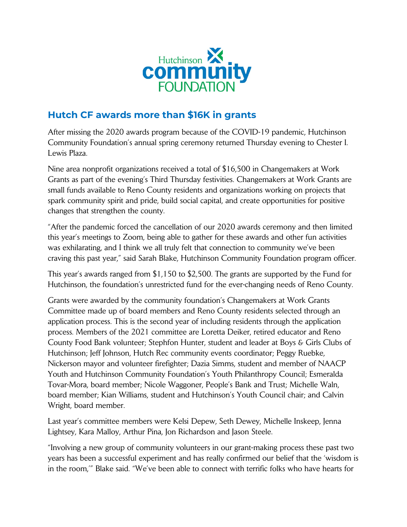

## **Hutch CF awards more than \$16K in grants**

After missing the 2020 awards program because of the COVID-19 pandemic, Hutchinson Community Foundation's annual spring ceremony returned Thursday evening to Chester I. Lewis Plaza.

Nine area nonprofit organizations received a total of \$16,500 in Changemakers at Work Grants as part of the evening's Third Thursday festivities. Changemakers at Work Grants are small funds available to Reno County residents and organizations working on projects that spark community spirit and pride, build social capital, and create opportunities for positive changes that strengthen the county.

"After the pandemic forced the cancellation of our 2020 awards ceremony and then limited this year's meetings to Zoom, being able to gather for these awards and other fun activities was exhilarating, and I think we all truly felt that connection to community we've been craving this past year," said Sarah Blake, Hutchinson Community Foundation program officer.

This year's awards ranged from \$1,150 to \$2,500. The grants are supported by the Fund for Hutchinson, the foundation's unrestricted fund for the ever-changing needs of Reno County.

Grants were awarded by the community foundation's Changemakers at Work Grants Committee made up of board members and Reno County residents selected through an application process. This is the second year of including residents through the application process. Members of the 2021 committee are Loretta Deiker, retired educator and Reno County Food Bank volunteer; Stephfon Hunter, student and leader at Boys & Girls Clubs of Hutchinson; Jeff Johnson, Hutch Rec community events coordinator; Peggy Ruebke, Nickerson mayor and volunteer firefighter; Dazia Simms, student and member of NAACP Youth and Hutchinson Community Foundation's Youth Philanthropy Council; Esmeralda Tovar-Mora, board member; Nicole Waggoner, People's Bank and Trust; Michelle Waln, board member; Kian Williams, student and Hutchinson's Youth Council chair; and Calvin Wright, board member.

Last year's committee members were Kelsi Depew, Seth Dewey, Michelle Inskeep, Jenna Lightsey, Kara Malloy, Arthur Pina, Jon Richardson and Jason Steele.

"Involving a new group of community volunteers in our grant-making process these past two years has been a successful experiment and has really confirmed our belief that the 'wisdom is in the room,'" Blake said. "We've been able to connect with terrific folks who have hearts for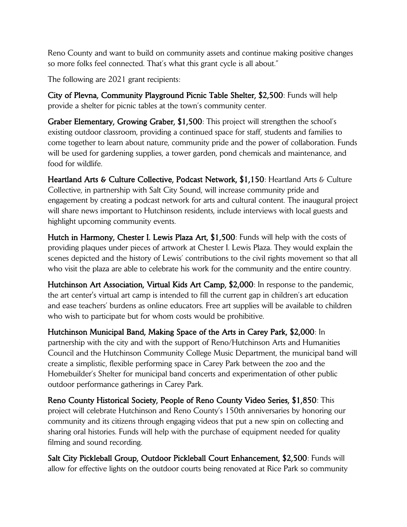Reno County and want to build on community assets and continue making positive changes so more folks feel connected. That's what this grant cycle is all about."

The following are 2021 grant recipients:

City of Plevna, Community Playground Picnic Table Shelter, \$2,500: Funds will help provide a shelter for picnic tables at the town's community center.

Graber Elementary, Growing Graber, \$1,500: This project will strengthen the school's existing outdoor classroom, providing a continued space for staff, students and families to come together to learn about nature, community pride and the power of collaboration. Funds will be used for gardening supplies, a tower garden, pond chemicals and maintenance, and food for wildlife.

Heartland Arts & Culture Collective, Podcast Network, \$1,150: Heartland Arts & Culture Collective, in partnership with Salt City Sound, will increase community pride and engagement by creating a podcast network for arts and cultural content. The inaugural project will share news important to Hutchinson residents, include interviews with local guests and highlight upcoming community events.

Hutch in Harmony, Chester I. Lewis Plaza Art, \$1,500: Funds will help with the costs of providing plaques under pieces of artwork at Chester I. Lewis Plaza. They would explain the scenes depicted and the history of Lewis' contributions to the civil rights movement so that all who visit the plaza are able to celebrate his work for the community and the entire country.

Hutchinson Art Association, Virtual Kids Art Camp, \$2,000: In response to the pandemic, the art center's virtual art camp is intended to fill the current gap in children's art education and ease teachers' burdens as online educators. Free art supplies will be available to children who wish to participate but for whom costs would be prohibitive.

Hutchinson Municipal Band, Making Space of the Arts in Carey Park, \$2,000: In partnership with the city and with the support of Reno/Hutchinson Arts and Humanities Council and the Hutchinson Community College Music Department, the municipal band will create a simplistic, flexible performing space in Carey Park between the zoo and the Homebuilder's Shelter for municipal band concerts and experimentation of other public outdoor performance gatherings in Carey Park.

Reno County Historical Society, People of Reno County Video Series, \$1,850: This project will celebrate Hutchinson and Reno County's 150th anniversaries by honoring our community and its citizens through engaging videos that put a new spin on collecting and sharing oral histories. Funds will help with the purchase of equipment needed for quality filming and sound recording.

Salt City Pickleball Group, Outdoor Pickleball Court Enhancement, \$2,500: Funds will allow for effective lights on the outdoor courts being renovated at Rice Park so community